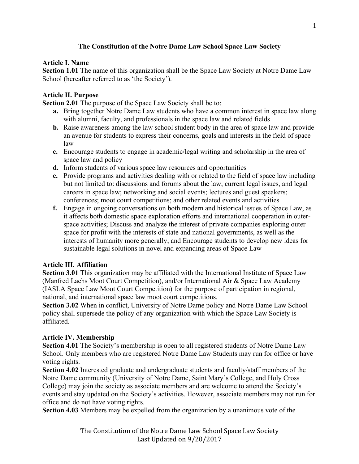## **The Constitution of the Notre Dame Law School Space Law Society**

#### **Article I. Name**

**Section 1.01** The name of this organization shall be the Space Law Society at Notre Dame Law School (hereafter referred to as 'the Society').

# **Article II. Purpose**

**Section 2.01** The purpose of the Space Law Society shall be to:

- **a.** Bring together Notre Dame Law students who have a common interest in space law along with alumni, faculty, and professionals in the space law and related fields
- **b.** Raise awareness among the law school student body in the area of space law and provide an avenue for students to express their concerns, goals and interests in the field of space law
- **c.** Encourage students to engage in academic/legal writing and scholarship in the area of space law and policy
- **d.** Inform students of various space law resources and opportunities
- **e.** Provide programs and activities dealing with or related to the field of space law including but not limited to: discussions and forums about the law, current legal issues, and legal careers in space law; networking and social events; lectures and guest speakers; conferences; moot court competitions; and other related events and activities
- **f.** Engage in ongoing conversations on both modern and historical issues of Space Law, as it affects both domestic space exploration efforts and international cooperation in outerspace activities; Discuss and analyze the interest of private companies exploring outer space for profit with the interests of state and national governments, as well as the interests of humanity more generally; and Encourage students to develop new ideas for sustainable legal solutions in novel and expanding areas of Space Law

#### **Article III. Affiliation**

**Section 3.01** This organization may be affiliated with the International Institute of Space Law (Manfred Lachs Moot Court Competition), and/or International Air & Space Law Academy (IASLA Space Law Moot Court Competition) for the purpose of participation in regional, national, and international space law moot court competitions.

**Section 3.02** When in conflict, University of Notre Dame policy and Notre Dame Law School policy shall supersede the policy of any organization with which the Space Law Society is affiliated.

# **Article IV. Membership**

**Section 4.01** The Society's membership is open to all registered students of Notre Dame Law School. Only members who are registered Notre Dame Law Students may run for office or have voting rights.

**Section 4.02** Interested graduate and undergraduate students and faculty/staff members of the Notre Dame community (University of Notre Dame, Saint Mary's College, and Holy Cross College) may join the society as associate members and are welcome to attend the Society's events and stay updated on the Society's activities. However, associate members may not run for office and do not have voting rights.

**Section 4.03** Members may be expelled from the organization by a unanimous vote of the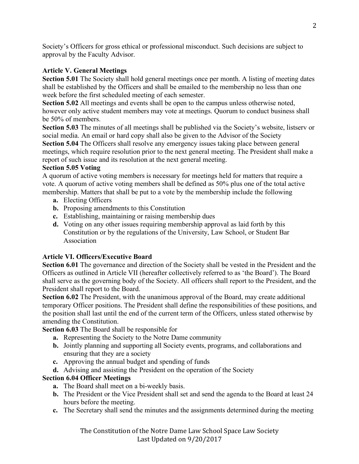Society's Officers for gross ethical or professional misconduct. Such decisions are subject to approval by the Faculty Advisor.

## **Article V. General Meetings**

**Section 5.01** The Society shall hold general meetings once per month. A listing of meeting dates shall be established by the Officers and shall be emailed to the membership no less than one week before the first scheduled meeting of each semester.

**Section 5.02** All meetings and events shall be open to the campus unless otherwise noted, however only active student members may vote at meetings. Quorum to conduct business shall be 50% of members.

**Section 5.03** The minutes of all meetings shall be published via the Society's website, listserv or social media. An email or hard copy shall also be given to the Advisor of the Society **Section 5.04** The Officers shall resolve any emergency issues taking place between general meetings, which require resolution prior to the next general meeting. The President shall make a report of such issue and its resolution at the next general meeting.

### **Section 5.05 Voting**

A quorum of active voting members is necessary for meetings held for matters that require a vote. A quorum of active voting members shall be defined as 50% plus one of the total active membership. Matters that shall be put to a vote by the membership include the following

- **a.** Electing Officers
- **b.** Proposing amendments to this Constitution
- **c.** Establishing, maintaining or raising membership dues
- **d.** Voting on any other issues requiring membership approval as laid forth by this Constitution or by the regulations of the University, Law School, or Student Bar Association

# **Article VI. Officers/Executive Board**

**Section 6.01** The governance and direction of the Society shall be vested in the President and the Officers as outlined in Article VII (hereafter collectively referred to as 'the Board'). The Board shall serve as the governing body of the Society. All officers shall report to the President, and the President shall report to the Board.

**Section 6.02** The President, with the unanimous approval of the Board, may create additional temporary Officer positions. The President shall define the responsibilities of these positions, and the position shall last until the end of the current term of the Officers, unless stated otherwise by amending the Constitution.

**Section 6.03** The Board shall be responsible for

- **a.** Representing the Society to the Notre Dame community
- **b.** Jointly planning and supporting all Society events, programs, and collaborations and ensuring that they are a society
- **c.** Approving the annual budget and spending of funds
- **d.** Advising and assisting the President on the operation of the Society

# **Section 6.04 Officer Meetings**

- **a.** The Board shall meet on a bi-weekly basis.
- **b.** The President or the Vice President shall set and send the agenda to the Board at least 24 hours before the meeting.
- **c.** The Secretary shall send the minutes and the assignments determined during the meeting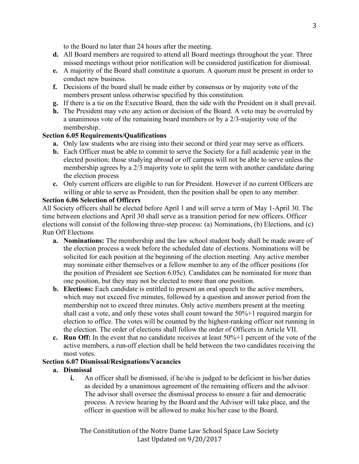to the Board no later than 24 hours after the meeting.

- **d.** All Board members are required to attend all Board meetings throughout the year. Three missed meetings without prior notification will be considered justification for dismissal.
- **e.** A majority of the Board shall constitute a quorum. A quorum must be present in order to conduct new business.
- **f.** Decisions of the board shall be made either by consensus or by majority vote of the members present unless otherwise specified by this constitution.
- **g.** If there is a tie on the Executive Board, then the side with the President on it shall prevail.
- **h.** The President may veto any action or decision of the Board. A veto may be overruled by a unanimous vote of the remaining board members or by a 2/3-majority vote of the membership.

#### **Section 6.05 Requirements/Qualifications**

- **a.** Only law students who are rising into their second or third year may serve as officers.
- **b.** Each Officer must be able to commit to serve the Society for a full academic year in the elected position; those studying abroad or off campus will not be able to serve unless the membership agrees by a 2/3 majority vote to split the term with another candidate during the election process
- **c.** Only current officers are eligible to run for President. However if no current Officers are willing or able to serve as President, then the position shall be open to any member.

### **Section 6.06 Selection of Officers**

All Society officers shall be elected before April 1 and will serve a term of May 1-April 30. The time between elections and April 30 shall serve as a transition period for new officers. Officer elections will consist of the following three-step process: (a) Nominations, (b) Elections, and (c) Run Off Elections

- **a. Nominations:** The membership and the law school student body shall be made aware of the election process a week before the scheduled date of elections. Nominations will be solicited for each position at the beginning of the election meeting. Any active member may nominate either themselves or a fellow member to any of the officer positions (for the position of President see Section 6.05c). Candidates can be nominated for more than one position, but they may not be elected to more than one position.
- **b. Elections:** Each candidate is entitled to present an oral speech to the active members, which may not exceed five minutes, followed by a question and answer period from the membership not to exceed three minutes. Only active members present at the meeting shall cast a vote, and only these votes shall count toward the 50%+1 required margin for election to office. The votes will be counted by the highest-ranking officer not running in the election. The order of elections shall follow the order of Officers in Article VII.
- **c. Run Off:** In the event that no candidate receives at least 50%+1 percent of the vote of the active members, a run-off election shall be held between the two candidates receiving the most votes.

#### **Section 6.07 Dismissal/Resignations/Vacancies**

#### **a. Dismissal**

**i.** An officer shall be dismissed, if he/she is judged to be deficient in his/her duties as decided by a unanimous agreement of the remaining officers and the advisor. The advisor shall oversee the dismissal process to ensure a fair and democratic process. A review hearing by the Board and the Advisor will take place, and the officer in question will be allowed to make his/her case to the Board.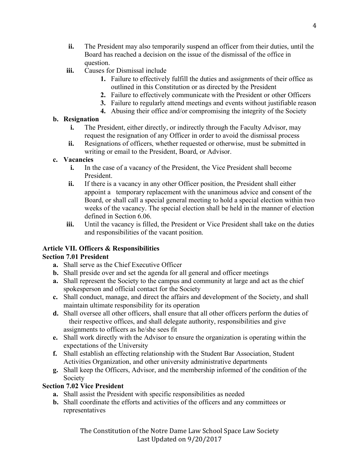- **ii.** The President may also temporarily suspend an officer from their duties, until the Board has reached a decision on the issue of the dismissal of the office in question.
- **iii.** Causes for Dismissal include
	- **1.** Failure to effectively fulfill the duties and assignments of their office as outlined in this Constitution or as directed by the President
	- **2.** Failure to effectively communicate with the President or other Officers
	- **3.** Failure to regularly attend meetings and events without justifiable reason
	- **4.** Abusing their office and/or compromising the integrity of the Society

## **b. Resignation**

- **i.** The President, either directly, or indirectly through the Faculty Advisor, may request the resignation of any Officer in order to avoid the dismissal process
- **ii.** Resignations of officers, whether requested or otherwise, must be submitted in writing or email to the President, Board, or Advisor.

### **c. Vacancies**

- **i.** In the case of a vacancy of the President, the Vice President shall become President.
- **ii.** If there is a vacancy in any other Officer position, the President shall either appoint a temporary replacement with the unanimous advice and consent of the Board, or shall call a special general meeting to hold a special election within two weeks of the vacancy. The special election shall be held in the manner of election defined in Section 6.06.
- **iii.** Until the vacancy is filled, the President or Vice President shall take on the duties and responsibilities of the vacant position.

# **Article VII. Officers & Responsibilities**

# **Section 7.01 President**

- **a.** Shall serve as the Chief Executive Officer
- **b.** Shall preside over and set the agenda for all general and officer meetings
- **a.** Shall represent the Society to the campus and community at large and act as the chief spokesperson and official contact for the Society
- **c.** Shall conduct, manage, and direct the affairs and development of the Society, and shall maintain ultimate responsibility for its operation
- **d.** Shall oversee all other officers, shall ensure that all other officers perform the duties of their respective offices, and shall delegate authority, responsibilities and give assignments to officers as he/she sees fit
- **e.** Shall work directly with the Advisor to ensure the organization is operating within the expectations of the University
- **f.** Shall establish an effecting relationship with the Student Bar Association, Student Activities Organization, and other university administrative departments
- **g.** Shall keep the Officers, Advisor, and the membership informed of the condition of the Society

#### **Section 7.02 Vice President**

- **a.** Shall assist the President with specific responsibilities as needed
- **b.** Shall coordinate the efforts and activities of the officers and any committees or representatives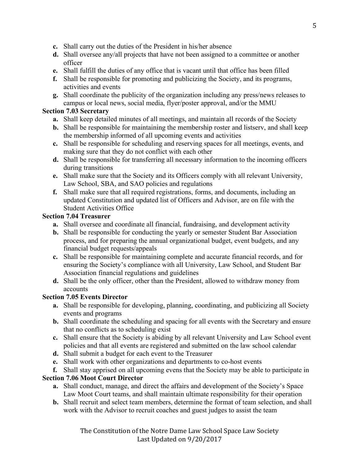- **c.** Shall carry out the duties of the President in his/her absence
- **d.** Shall oversee any/all projects that have not been assigned to a committee or another officer
- **e.** Shall fulfill the duties of any office that is vacant until that office has been filled
- **f.** Shall be responsible for promoting and publicizing the Society, and its programs, activities and events
- **g.** Shall coordinate the publicity of the organization including any press/news releases to campus or local news, social media, flyer/poster approval, and/or the MMU

## **Section 7.03 Secretary**

- **a.** Shall keep detailed minutes of all meetings, and maintain all records of the Society
- **b.** Shall be responsible for maintaining the membership roster and listserv, and shall keep the membership informed of all upcoming events and activities
- **c.** Shall be responsible for scheduling and reserving spaces for all meetings, events, and making sure that they do not conflict with each other
- **d.** Shall be responsible for transferring all necessary information to the incoming officers during transitions
- **e.** Shall make sure that the Society and its Officers comply with all relevant University, Law School, SBA, and SAO policies and regulations
- **f.** Shall make sure that all required registrations, forms, and documents, including an updated Constitution and updated list of Officers and Advisor, are on file with the Student Activities Office

### **Section 7.04 Treasurer**

- **a.** Shall oversee and coordinate all financial, fundraising, and development activity
- **b.** Shall be responsible for conducting the yearly or semester Student Bar Association process, and for preparing the annual organizational budget, event budgets, and any financial budget requests/appeals
- **c.** Shall be responsible for maintaining complete and accurate financial records, and for ensuring the Society's compliance with all University, Law School, and Student Bar Association financial regulations and guidelines
- **d.** Shall be the only officer, other than the President, allowed to withdraw money from accounts

# **Section 7.05 Events Director**

- **a.** Shall be responsible for developing, planning, coordinating, and publicizing all Society events and programs
- **b.** Shall coordinate the scheduling and spacing for all events with the Secretary and ensure that no conflicts as to scheduling exist
- **c.** Shall ensure that the Society is abiding by all relevant University and Law School event policies and that all events are registered and submitted on the law school calendar
- **d.** Shall submit a budget for each event to the Treasurer
- **e.** Shall work with other organizations and departments to co-host events

**f.** Shall stay apprised on all upcoming evens that the Society may be able to participate in

# **Section 7.06 Moot Court Director**

- **a.** Shall conduct, manage, and direct the affairs and development of the Society's Space Law Moot Court teams, and shall maintain ultimate responsibility for their operation
- **b.** Shall recruit and select team members, determine the format of team selection, and shall work with the Advisor to recruit coaches and guest judges to assist the team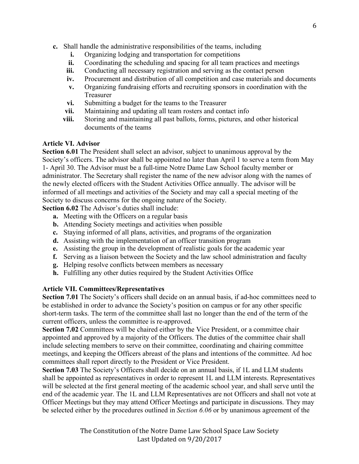- **c.** Shall handle the administrative responsibilities of the teams, including
	- **i.** Organizing lodging and transportation for competitions
	- **ii.** Coordinating the scheduling and spacing for all team practices and meetings
	- **iii.** Conducting all necessary registration and serving as the contact person
	- **iv.** Procurement and distribution of all competition and case materials and documents
	- **v.** Organizing fundraising efforts and recruiting sponsors in coordination with the Treasurer
	- **vi.** Submitting a budget for the teams to the Treasurer
	- **vii.** Maintaining and updating all team rosters and contact info
	- **viii.** Storing and maintaining all past ballots, forms, pictures, and other historical documents of the teams

## **Article VI. Advisor**

**Section 6.01** The President shall select an advisor, subject to unanimous approval by the Society's officers. The advisor shall be appointed no later than April 1 to serve a term from May 1- April 30. The Advisor must be a full-time Notre Dame Law School faculty member or administrator. The Secretary shall register the name of the new advisor along with the names of the newly elected officers with the Student Activities Office annually. The advisor will be informed of all meetings and activities of the Society and may call a special meeting of the Society to discuss concerns for the ongoing nature of the Society.

**Section 6.02** The Advisor's duties shall include:

- **a.** Meeting with the Officers on a regular basis
- **b.** Attending Society meetings and activities when possible
- **c.** Staying informed of all plans, activities, and programs of the organization
- **d.** Assisting with the implementation of an officer transition program
- **e.** Assisting the group in the development of realistic goals for the academic year
- **f.** Serving as a liaison between the Society and the law school administration and faculty
- **g.** Helping resolve conflicts between members as necessary
- **h.** Fulfilling any other duties required by the Student Activities Office

#### **Article VII. Committees/Representatives**

**Section 7.01** The Society's officers shall decide on an annual basis, if ad-hoc committees need to be established in order to advance the Society's position on campus or for any other specific short-term tasks. The term of the committee shall last no longer than the end of the term of the current officers, unless the committee is re-approved.

**Section 7.02** Committees will be chaired either by the Vice President, or a committee chair appointed and approved by a majority of the Officers. The duties of the committee chair shall include selecting members to serve on their committee, coordinating and chairing committee meetings, and keeping the Officers abreast of the plans and intentions of the committee. Ad hoc committees shall report directly to the President or Vice President.

**Section 7.03** The Society's Officers shall decide on an annual basis, if 1L and LLM students shall be appointed as representatives in order to represent 1L and LLM interests. Representatives will be selected at the first general meeting of the academic school year, and shall serve until the end of the academic year. The 1L and LLM Representatives are not Officers and shall not vote at Officer Meetings but they may attend Officer Meetings and participate in discussions. They may be selected either by the procedures outlined in *Section 6.06* or by unanimous agreement of the